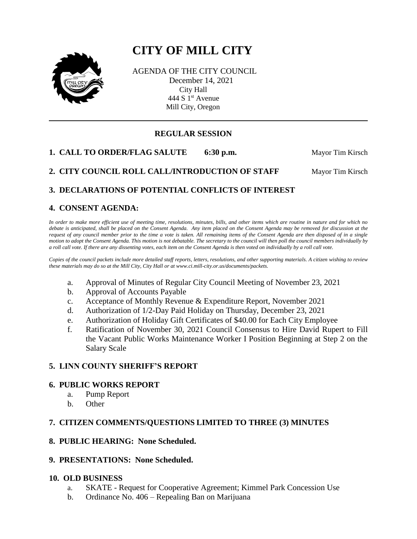# **CITY OF MILL CITY**



AGENDA OF THE CITY COUNCIL December 14, 2021 City Hall 444 S  $1<sup>st</sup>$  Avenue Mill City, Oregon

# **REGULAR SESSION**

**1. CALL TO ORDER/FLAG SALUTE** 6:30 p.m. Mayor Tim Kirsch

**2. CITY COUNCIL ROLL CALL/INTRODUCTION OF STAFF Mayor Tim Kirsch** 

## **3. DECLARATIONS OF POTENTIAL CONFLICTS OF INTEREST**

## **4. CONSENT AGENDA:**

*In order to make more efficient use of meeting time, resolutions, minutes, bills, and other items which are routine in nature and for which no debate is anticipated, shall be placed on the Consent Agenda. Any item placed on the Consent Agenda may be removed for discussion at the request of any council member prior to the time a vote is taken. All remaining items of the Consent Agenda are then disposed of in a single motion to adopt the Consent Agenda. This motion is not debatable. The secretary to the council will then poll the council members individually by a roll call vote. If there are any dissenting votes, each item on the Consent Agenda is then voted on individually by a roll call vote.*

*Copies of the council packets include more detailed staff reports, letters, resolutions, and other supporting materials. A citizen wishing to review these materials may do so at the Mill City, City Hall or at www.ci.mill-city.or.us/documents/packets.*

- a. Approval of Minutes of Regular City Council Meeting of November 23, 2021
- b. Approval of Accounts Payable
- c. Acceptance of Monthly Revenue & Expenditure Report, November 2021
- d. Authorization of 1/2-Day Paid Holiday on Thursday, December 23, 2021
- e. Authorization of Holiday Gift Certificates of \$40.00 for Each City Employee
- f. Ratification of November 30, 2021 Council Consensus to Hire David Rupert to Fill the Vacant Public Works Maintenance Worker I Position Beginning at Step 2 on the Salary Scale

## **5. LINN COUNTY SHERIFF'S REPORT**

#### **6. PUBLIC WORKS REPORT**

- a. Pump Report
- b. Other

## **7. CITIZEN COMMENTS/QUESTIONS LIMITED TO THREE (3) MINUTES**

#### **8. PUBLIC HEARING: None Scheduled.**

#### **9. PRESENTATIONS: None Scheduled.**

#### **10. OLD BUSINESS**

- a. SKATE Request for Cooperative Agreement; Kimmel Park Concession Use
- b. Ordinance No. 406 Repealing Ban on Marijuana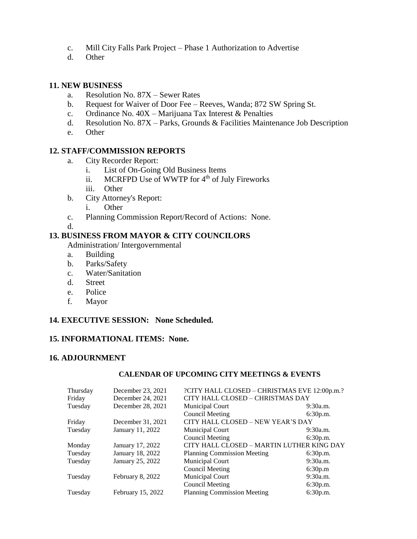- c. Mill City Falls Park Project Phase 1 Authorization to Advertise
- d. Other

#### **11. NEW BUSINESS**

- a. Resolution No. 87X Sewer Rates
- b. Request for Waiver of Door Fee Reeves, Wanda; 872 SW Spring St.
- c. Ordinance No. 40X Marijuana Tax Interest & Penalties
- d. Resolution No.  $87X$  Parks, Grounds & Facilities Maintenance Job Description
- e. Other

## **12. STAFF/COMMISSION REPORTS**

- a. City Recorder Report:
	- i. List of On-Going Old Business Items
	- ii. MCRFPD Use of WWTP for 4<sup>th</sup> of July Fireworks
	- iii. Other
- b. City Attorney's Report:
	- i. Other
- c. Planning Commission Report/Record of Actions: None.

d.

#### **13. BUSINESS FROM MAYOR & CITY COUNCILORS**

Administration/ Intergovernmental

- a. Building
- b. Parks/Safety
- c. Water/Sanitation
- d. Street
- e. Police
- f. Mayor

## **14. EXECUTIVE SESSION: None Scheduled.**

## **15. INFORMATIONAL ITEMS: None.**

## **16. ADJOURNMENT**

#### **CALENDAR OF UPCOMING CITY MEETINGS & EVENTS**

| Thursday | December 23, 2021 | ?CITY HALL CLOSED - CHRISTMAS EVE 12:00p.m.? |          |
|----------|-------------------|----------------------------------------------|----------|
| Friday   | December 24, 2021 | CITY HALL CLOSED - CHRISTMAS DAY             |          |
| Tuesday  | December 28, 2021 | Municipal Court                              | 9:30a.m. |
|          |                   | <b>Council Meeting</b>                       | 6:30p.m. |
| Friday   | December 31, 2021 | CITY HALL CLOSED - NEW YEAR'S DAY            |          |
| Tuesday  | January 11, 2022  | Municipal Court                              | 9:30a.m. |
|          |                   | <b>Council Meeting</b>                       | 6:30p.m. |
| Monday   | January 17, 2022  | CITY HALL CLOSED – MARTIN LUTHER KING DAY    |          |
| Tuesday  | January 18, 2022  | <b>Planning Commission Meeting</b>           | 6:30p.m. |
| Tuesday  | January 25, 2022  | Municipal Court                              | 9:30a.m. |
|          |                   | <b>Council Meeting</b>                       | 6:30p.m  |
| Tuesday  | February 8, 2022  | Municipal Court                              | 9:30a.m. |
|          |                   | <b>Council Meeting</b>                       | 6:30p.m. |
| Tuesday  | February 15, 2022 | <b>Planning Commission Meeting</b>           | 6:30p.m. |